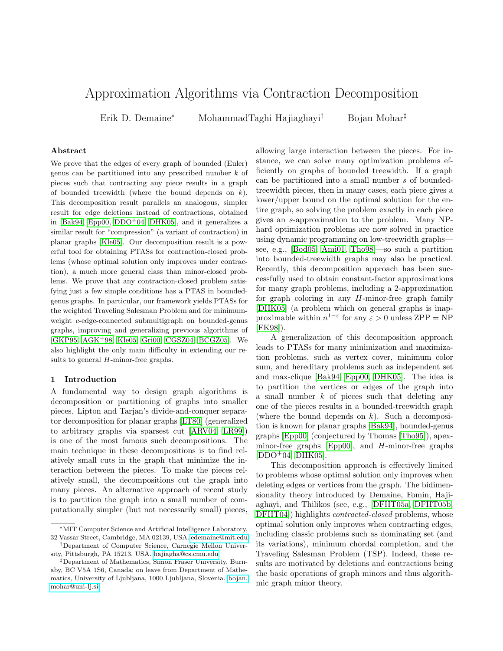# Approximation Algorithms via Contraction Decomposition

Erik D. Demaine<sup>∗</sup> MohammadTaghi Hajiaghayi† Bojan Mohar‡

#### Abstract

We prove that the edges of every graph of bounded (Euler) genus can be partitioned into any prescribed number k of pieces such that contracting any piece results in a graph of bounded treewidth (where the bound depends on  $k$ ). This decomposition result parallels an analogous, simpler result for edge deletions instead of contractions, obtained in [\[Bak94,](#page-7-0) [Epp00,](#page-8-0) [DDO](#page-8-1)<sup>+</sup>04, [DHK05\]](#page-8-2), and it generalizes a similar result for "compression" (a variant of contraction) in planar graphs [\[Kle05\]](#page-8-3). Our decomposition result is a powerful tool for obtaining PTASs for contraction-closed problems (whose optimal solution only improves under contraction), a much more general class than minor-closed problems. We prove that any contraction-closed problem satisfying just a few simple conditions has a PTAS in boundedgenus graphs. In particular, our framework yields PTASs for the weighted Traveling Salesman Problem and for minimumweight c-edge-connected submultigraph on bounded-genus graphs, improving and generalizing previous algorithms of [\[GKP95,](#page-8-4) [AGK](#page-7-1)<sup>+</sup>98, [Kle05,](#page-8-3) [Gri00,](#page-8-5) [CGSZ04,](#page-8-6) [BCGZ05\]](#page-7-2). We also highlight the only main difficulty in extending our results to general H-minor-free graphs.

## 1 Introduction

A fundamental way to design graph algorithms is decomposition or partitioning of graphs into smaller pieces. Lipton and Tarjan's divide-and-conquer separator decomposition for planar graphs [\[LT80\]](#page-9-0) (generalized to arbitrary graphs via sparsest cut [\[ARV04,](#page-7-3) [LR99\]](#page-9-1)) is one of the most famous such decompositions. The main technique in these decompositions is to find relatively small cuts in the graph that minimize the interaction between the pieces. To make the pieces relatively small, the decompositions cut the graph into many pieces. An alternative approach of recent study is to partition the graph into a small number of computationally simpler (but not necessarily small) pieces,

allowing large interaction between the pieces. For instance, we can solve many optimization problems efficiently on graphs of bounded treewidth. If a graph can be partitioned into a small number s of boundedtreewidth pieces, then in many cases, each piece gives a lower/upper bound on the optimal solution for the entire graph, so solving the problem exactly in each piece gives an s-approximation to the problem. Many NPhard optimization problems are now solved in practice using dynamic programming on low-treewidth graphs see, e.g., [\[Bod05,](#page-8-7) [Ami01,](#page-7-4) [Tho98\]](#page-9-2)—so such a partition into bounded-treewidth graphs may also be practical. Recently, this decomposition approach has been successfully used to obtain constant-factor approximations for many graph problems, including a 2-approximation for graph coloring in any  $H$ -minor-free graph family [\[DHK05\]](#page-8-2) (a problem which on general graphs is inapproximable within  $n^{1-\epsilon}$  for any  $\varepsilon > 0$  unless ZPP = NP [\[FK98\]](#page-8-8)).

A generalization of this decomposition approach leads to PTASs for many minimization and maximization problems, such as vertex cover, minimum color sum, and hereditary problems such as independent set and max-clique [\[Bak94,](#page-7-0) [Epp00,](#page-8-0) [DHK05\]](#page-8-2). The idea is to partition the vertices or edges of the graph into a small number  $k$  of pieces such that deleting any one of the pieces results in a bounded-treewidth graph (where the bound depends on  $k$ ). Such a decomposition is known for planar graphs [\[Bak94\]](#page-7-0), bounded-genus graphs [\[Epp00\]](#page-8-0) (conjectured by Thomas [\[Tho95\]](#page-9-3)), apexminor-free graphs [\[Epp00\]](#page-8-0), and H-minor-free graphs [\[DDO](#page-8-1)<sup>+</sup>04, [DHK05\]](#page-8-2).

This decomposition approach is effectively limited to problems whose optimal solution only improves when deleting edges or vertices from the graph. The bidimensionality theory introduced by Demaine, Fomin, Hajiaghayi, and Thilikos (see, e.g., [\[DFHT05a,](#page-8-9) [DFHT05b,](#page-8-10) [DFHT04\]](#page-8-11)) highlights *contracted-closed* problems, whose optimal solution only improves when contracting edges, including classic problems such as dominating set (and its variations), minimum chordal completion, and the Traveling Salesman Problem (TSP). Indeed, these results are motivated by deletions and contractions being the basic operations of graph minors and thus algorithmic graph minor theory.

<sup>∗</sup>MIT Computer Science and Artificial Intelligence Laboratory, 32 Vassar Street, Cambridge, MA 02139, USA.<edemaine@mit.edu>

<sup>†</sup>Department of Computer Science, Carnegie Mellon University, Pittsburgh, PA 15213, USA.<hajiagha@cs.cmu.edu>

<sup>‡</sup>Department of Mathematics, Simon Fraser University, Burnaby, BC V5A 1S6, Canada; on leave from Department of Mathematics, University of Ljubljana, 1000 Ljubljana, Slovenia. [bojan.](bojan.mohar@uni-lj.si) [mohar@uni-lj.si](bojan.mohar@uni-lj.si)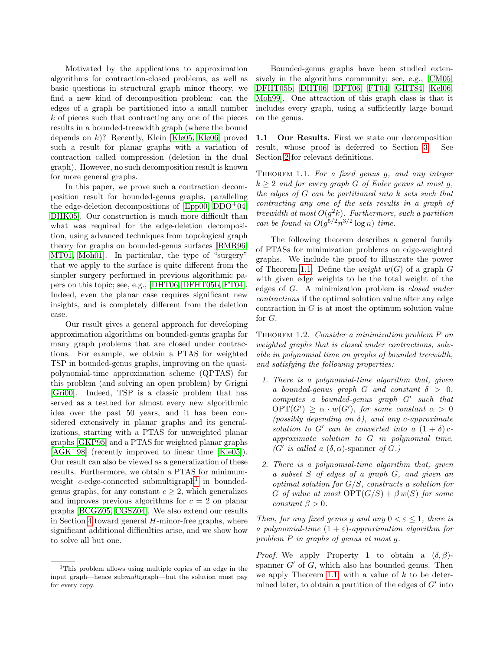Motivated by the applications to approximation algorithms for contraction-closed problems, as well as basic questions in structural graph minor theory, we find a new kind of decomposition problem: can the edges of a graph be partitioned into a small number  $k$  of pieces such that contracting any one of the pieces results in a bounded-treewidth graph (where the bound depends on  $k$ ? Recently, Klein [\[Kle05,](#page-8-3) [Kle06\]](#page-8-12) proved such a result for planar graphs with a variation of contraction called compression (deletion in the dual graph). However, no such decomposition result is known for more general graphs.

In this paper, we prove such a contraction decomposition result for bounded-genus graphs, paralleling the edge-deletion decompositions of  $[Ep00, DDO<sup>+</sup>04,$  $[Ep00, DDO<sup>+</sup>04,$  $[Ep00, DDO<sup>+</sup>04,$ [DHK05\]](#page-8-2). Our construction is much more difficult than what was required for the edge-deletion decomposition, using advanced techniques from topological graph theory for graphs on bounded-genus surfaces [\[BMR96,](#page-8-13) [MT01,](#page-9-4) [Moh01\]](#page-9-5). In particular, the type of "surgery" that we apply to the surface is quite different from the simpler surgery performed in previous algorithmic papers on this topic; see, e.g., [\[DHT06,](#page-8-14) [DFHT05b,](#page-8-10) [FT04\]](#page-8-15). Indeed, even the planar case requires significant new insights, and is completely different from the deletion case.

Our result gives a general approach for developing approximation algorithms on bounded-genus graphs for many graph problems that are closed under contractions. For example, we obtain a PTAS for weighted TSP in bounded-genus graphs, improving on the quasipolynomial-time approximation scheme (QPTAS) for this problem (and solving an open problem) by Grigni [\[Gri00\]](#page-8-5). Indeed, TSP is a classic problem that has served as a testbed for almost every new algorithmic idea over the past 50 years, and it has been considered extensively in planar graphs and its generalizations, starting with a PTAS for unweighted planar graphs [\[GKP95\]](#page-8-4) and a PTAS for weighted planar graphs [\[AGK](#page-7-1)<sup>+</sup>98] (recently improved to linear time [\[Kle05\]](#page-8-3)). Our result can also be viewed as a generalization of these results. Furthermore, we obtain a PTAS for minimumweight  $c$ -edge-connected submultigraph<sup>[1](#page-1-0)</sup> in boundedgenus graphs, for any constant  $c \geq 2$ , which generalizes and improves previous algorithms for  $c = 2$  on planar graphs [\[BCGZ05,](#page-7-2) [CGSZ04\]](#page-8-6). We also extend our results in Section [4](#page-6-0) toward general  $H$ -minor-free graphs, where significant additional difficulties arise, and we show how to solve all but one.

<span id="page-1-0"></span><sup>1</sup>This problem allows using multiple copies of an edge in the input graph—hence submultigraph—but the solution must pay for every copy.

Bounded-genus graphs have been studied exten-sively in the algorithms community; see, e.g., [\[CM05,](#page-8-16) [DFHT05b,](#page-8-10) [DHT06,](#page-8-14) [DFT06,](#page-8-17) [FT04,](#page-8-15) [GHT84,](#page-8-18) [Kel06,](#page-8-19) [Moh99\]](#page-9-6). One attraction of this graph class is that it includes every graph, using a sufficiently large bound on the genus.

1.1 Our Results. First we state our decomposition result, whose proof is deferred to Section [3.](#page-3-0) See Section [2](#page-2-0) for relevant definitions.

<span id="page-1-1"></span>THEOREM 1.1. For a fixed genus  $g$ , and any integer  $k \geq 2$  and for every graph G of Euler genus at most g, the edges of G can be partitioned into k sets such that contracting any one of the sets results in a graph of treewidth at most  $O(g^2k)$ . Furthermore, such a partition can be found in  $O(g^{5/2}n^{3/2}\log n)$  time.

The following theorem describes a general family of PTASs for minimization problems on edge-weighted graphs. We include the proof to illustrate the power of Theorem [1.1.](#page-1-1) Define the *weight*  $w(G)$  of a graph G with given edge weights to be the total weight of the edges of G. A minimization problem is closed under contractions if the optimal solution value after any edge contraction in  $G$  is at most the optimum solution value for G.

<span id="page-1-2"></span>THEOREM 1.2. Consider a minimization problem P on weighted graphs that is closed under contractions, solvable in polynomial time on graphs of bounded treewidth, and satisfying the following properties:

- 1. There is a polynomial-time algorithm that, given a bounded-genus graph G and constant  $\delta > 0$ ,  $computes$  a bounded-genus graph  $G'$  such that  $\mathrm{OPT}(G') \geq \alpha \cdot w(G')$ , for some constant  $\alpha > 0$ (possibly depending on  $\delta$ ), and any c-approximate solution to G' can be converted into a  $(1 + \delta)$ capproximate solution to G in polynomial time. (G' is called a  $(\delta, \alpha)$ -spanner of G.)
- 2. There is a polynomial-time algorithm that, given a subset S of edges of a graph G, and given an optimal solution for  $G/S$ , constructs a solution for G of value at most  $\text{OPT}(G/S) + \beta w(S)$  for some constant  $\beta > 0$ .

Then, for any fixed genus g and any  $0 < \varepsilon \leq 1$ , there is a polynomial-time  $(1 + \varepsilon)$ -approximation algorithm for problem P in graphs of genus at most g.

*Proof.* We apply Property 1 to obtain a  $(\delta, \beta)$ spanner  $G'$  of  $G$ , which also has bounded genus. Then we apply Theorem [1.1,](#page-1-1) with a value of  $k$  to be determined later, to obtain a partition of the edges of  $G'$  into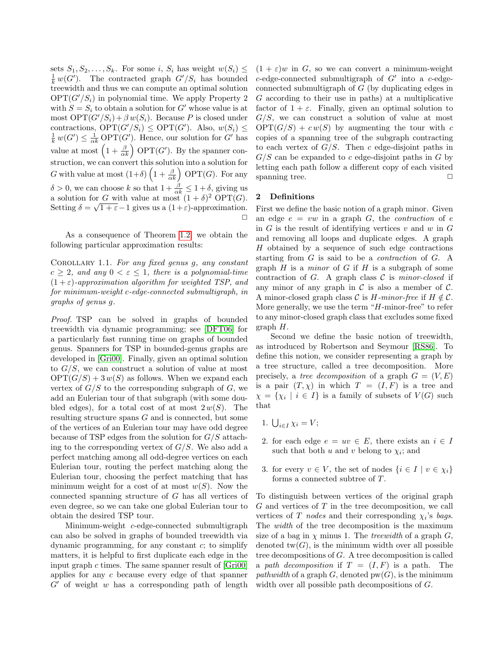sets  $S_1, S_2, \ldots, S_k$ . For some i,  $S_i$  has weight  $w(S_i) \leq$  $\frac{1}{k} w(G')$ . The contracted graph  $G'/S_i$  has bounded treewidth and thus we can compute an optimal solution  $OPT(G'/S_i)$  in polynomial time. We apply Property 2 with  $S = S_i$  to obtain a solution for G' whose value is at most  $\text{OPT}(G'/S_i) + \beta w(S_i)$ . Because P is closed under contractions,  $\text{OPT}(G'/S_i) \leq \text{OPT}(G')$ . Also,  $w(S_i) \leq$  $\frac{1}{k} w(G') \leq \frac{1}{\alpha k} \text{OPT}(G')$ . Hence, our solution for  $G'$  has value at most  $\left(1+\frac{\beta}{\alpha k}\right)$  OPT $(G')$ . By the spanner construction, we can convert this solution into a solution for G with value at most  $(1+\delta)\left(1+\frac{\beta}{\alpha k}\right)$  OPT(G). For any  $\delta > 0$ , we can choose k so that  $1 + \frac{\beta}{\alpha k} \leq 1 + \delta$ , giving us a solution for G with value at most  $(1 + \delta)^2$  OPT $(G)$ . Setting  $\delta = \sqrt{1+\epsilon} - 1$  gives us a  $(1+\epsilon)$ -approximation.  $\Box$ 

As a consequence of Theorem [1.2,](#page-1-2) we obtain the following particular approximation results:

<span id="page-2-1"></span>COROLLARY 1.1. For any fixed genus  $g$ , any constant  $c > 2$ , and any  $0 < \varepsilon < 1$ , there is a polynomial-time  $(1 + \varepsilon)$ -approximation algorithm for weighted TSP, and for minimum-weight c-edge-connected submultigraph, in graphs of genus g.

Proof. TSP can be solved in graphs of bounded treewidth via dynamic programming; see [\[DFT06\]](#page-8-17) for a particularly fast running time on graphs of bounded genus. Spanners for TSP in bounded-genus graphs are developed in [\[Gri00\]](#page-8-5). Finally, given an optimal solution to  $G/S$ , we can construct a solution of value at most  $OPT(G/S) + 3 w(S)$  as follows. When we expand each vertex of  $G/S$  to the corresponding subgraph of  $G$ , we add an Eulerian tour of that subgraph (with some doubled edges), for a total cost of at most  $2 w(S)$ . The resulting structure spans G and is connected, but some of the vertices of an Eulerian tour may have odd degree because of TSP edges from the solution for  $G/S$  attaching to the corresponding vertex of  $G/S$ . We also add a perfect matching among all odd-degree vertices on each Eulerian tour, routing the perfect matching along the Eulerian tour, choosing the perfect matching that has minimum weight for a cost of at most  $w(S)$ . Now the connected spanning structure of G has all vertices of even degree, so we can take one global Eulerian tour to obtain the desired TSP tour.

Minimum-weight c-edge-connected submultigraph can also be solved in graphs of bounded treewidth via dynamic programming, for any constant  $c$ ; to simplify matters, it is helpful to first duplicate each edge in the input graph  $c$  times. The same spanner result of  $[Gri00]$ applies for any c because every edge of that spanner  $G'$  of weight w has a corresponding path of length

 $(1 + \varepsilon)w$  in G, so we can convert a minimum-weight  $c$ -edge-connected submultigraph of  $G'$  into a  $c$ -edgeconnected submultigraph of G (by duplicating edges in G according to their use in paths) at a multiplicative factor of  $1 + \varepsilon$ . Finally, given an optimal solution to  $G/S$ , we can construct a solution of value at most  $OPT(G/S) + cw(S)$  by augmenting the tour with c copies of a spanning tree of the subgraph contracting to each vertex of  $G/S$ . Then c edge-disjoint paths in  $G/S$  can be expanded to c edge-disjoint paths in G by letting each path follow a different copy of each visited spanning tree.  $\Box$ 

## <span id="page-2-0"></span>2 Definitions

First we define the basic notion of a graph minor. Given an edge  $e = vw$  in a graph G, the *contraction* of e in  $G$  is the result of identifying vertices  $v$  and  $w$  in  $G$ and removing all loops and duplicate edges. A graph  $H$  obtained by a sequence of such edge contractions starting from G is said to be a contraction of G. A graph  $H$  is a *minor* of  $G$  if  $H$  is a subgraph of some contraction of  $G$ . A graph class  $C$  is *minor-closed* if any minor of any graph in  $\mathcal C$  is also a member of  $\mathcal C$ . A minor-closed graph class C is H-minor-free if  $H \notin \mathcal{C}$ . More generally, we use the term " $H$ -minor-free" to refer to any minor-closed graph class that excludes some fixed graph  $H$ .

Second we define the basic notion of treewidth, as introduced by Robertson and Seymour [\[RS86\]](#page-9-7). To define this notion, we consider representing a graph by a tree structure, called a tree decomposition. More precisely, a tree decomposition of a graph  $G = (V, E)$ is a pair  $(T, \chi)$  in which  $T = (I, F)$  is a tree and  $\chi = {\chi_i \mid i \in I}$  is a family of subsets of  $V(G)$  such that

- 1.  $\bigcup_{i\in I}\chi_i = V;$
- 2. for each edge  $e = uv \in E$ , there exists an  $i \in I$ such that both  $u$  and  $v$  belong to  $\chi_i$ ; and
- 3. for every  $v \in V$ , the set of nodes  $\{i \in I \mid v \in \chi_i\}$ forms a connected subtree of T.

To distinguish between vertices of the original graph  $G$  and vertices of  $T$  in the tree decomposition, we call vertices of T nodes and their corresponding  $\chi_i$ 's bags. The width of the tree decomposition is the maximum size of a bag in  $\chi$  minus 1. The *treewidth* of a graph  $G$ , denoted  $tw(G)$ , is the minimum width over all possible tree decompositions of G. A tree decomposition is called a path decomposition if  $T = (I, F)$  is a path. The pathwidth of a graph  $G$ , denoted  $pw(G)$ , is the minimum width over all possible path decompositions of G.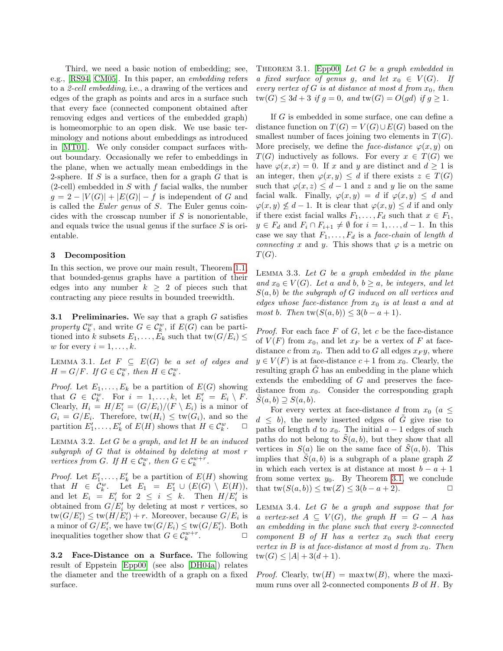Third, we need a basic notion of embedding; see, e.g., [\[RS94,](#page-9-8) [CM05\]](#page-8-16). In this paper, an embedding refers to a 2-cell embedding, i.e., a drawing of the vertices and edges of the graph as points and arcs in a surface such that every face (connected component obtained after removing edges and vertices of the embedded graph) is homeomorphic to an open disk. We use basic terminology and notions about embeddings as introduced in [\[MT01\]](#page-9-4). We only consider compact surfaces without boundary. Occasionally we refer to embeddings in the plane, when we actually mean embeddings in the 2-sphere. If  $S$  is a surface, then for a graph  $G$  that is  $(2$ -cell) embedded in S with f facial walks, the number  $g = 2 - |V(G)| + |E(G)| - f$  is independent of G and is called the Euler genus of S. The Euler genus coincides with the crosscap number if  $S$  is nonorientable, and equals twice the usual genus if the surface S is orientable.

### <span id="page-3-0"></span>3 Decomposition

In this section, we prove our main result, Theorem [1.1,](#page-1-1) that bounded-genus graphs have a partition of their edges into any number  $k \geq 2$  of pieces such that contracting any piece results in bounded treewidth.

**3.1 Preliminaries.** We say that a graph  $G$  satisfies property  $\mathcal{C}_{k}^{w}$ , and write  $G \in \mathcal{C}_{k}^{w}$ , if  $E(G)$  can be partitioned into k subsets  $E_1, \ldots, E_k$  such that tw $(G/E_i) \le$ w for every  $i = 1, \ldots, k$ .

LEMMA 3.1. Let  $F \subseteq E(G)$  be a set of edges and  $H = G/F$ . If  $G \in \mathcal{C}_{k}^{w}$ , then  $H \in \mathcal{C}_{k}^{w}$ .

*Proof.* Let  $E_1, \ldots, E_k$  be a partition of  $E(G)$  showing that  $G \in \mathcal{C}_{k}^{w}$ . For  $i = 1, ..., k$ , let  $E'_{i} = E_{i} \setminus F$ . Clearly,  $H_i = H/E'_i = (G/E_i)/(F \setminus E_i)$  is a minor of  $G_i = G/E_i$ . Therefore,  $tw(H_i) \leq tw(G_i)$ , and so the partition  $E'_1, \ldots, E'_k$  of  $E(H)$  shows that  $H \in \mathcal{C}_k^w$  $\Box$ 

LEMMA 3.2. Let  $G$  be a graph, and let  $H$  be an induced subgraph of G that is obtained by deleting at most r vertices from G. If  $H \in \mathcal{C}_k^w$ , then  $G \in \mathcal{C}_k^{w+r}$ .

*Proof.* Let  $E'_1, \ldots, E'_k$  be a partition of  $E(H)$  showing that  $H \in \mathcal{C}_k^w$ . Let  $E_1 = E'_1 \cup (E(G) \setminus E(H)),$ and let  $E_i = E'_i$  for  $2 \leq i \leq k$ . Then  $H/E'_i$  is obtained from  $G/E'_i$  by deleting at most r vertices, so  $\text{tw}(G/E_i') \leq \text{tw}(H/E_i') + r$ . Moreover, because  $G/E_i$  is a minor of  $G/E'_i$ , we have  $\text{tw}(G/E_i) \leq \text{tw}(G/E'_i)$ . Both inequalities together show that  $G \in \mathcal{C}_k^{w+r}$  $\Box$ 

3.2 Face-Distance on a Surface. The following result of Eppstein [\[Epp00\]](#page-8-0) (see also [\[DH04a\]](#page-8-20)) relates the diameter and the treewidth of a graph on a fixed surface.

THEOREM 3.1. [\[Epp00\]](#page-8-0) Let G be a graph embedded in a fixed surface of genus g, and let  $x_0 \in V(G)$ . If every vertex of G is at distance at most d from  $x_0$ , then  $tw(G) \leq 3d + 3$  if  $g = 0$ , and  $tw(G) = O(gd)$  if  $g \geq 1$ .

If G is embedded in some surface, one can define a distance function on  $T(G) = V(G) \cup E(G)$  based on the smallest number of faces joining two elements in  $T(G)$ . More precisely, we define the *face-distance*  $\varphi(x, y)$  on  $T(G)$  inductively as follows. For every  $x \in T(G)$  we have  $\varphi(x, x) = 0$ . If x and y are distinct and  $d \ge 1$  is an integer, then  $\varphi(x, y) \leq d$  if there exists  $z \in T(G)$ such that  $\varphi(x, z) \leq d - 1$  and z and y lie on the same facial walk. Finally,  $\varphi(x, y) = d$  if  $\varphi(x, y) \leq d$  and  $\varphi(x, y) \not\leq d - 1$ . It is clear that  $\varphi(x, y) \leq d$  if and only if there exist facial walks  $F_1, \ldots, F_d$  such that  $x \in F_1$ ,  $y \in F_d$  and  $F_i \cap F_{i+1} \neq \emptyset$  for  $i = 1, ..., d - 1$ . In this case we say that  $F_1, \ldots, F_d$  is a face-chain of length d connecting x and y. This shows that  $\varphi$  is a metric on  $T(G).$ 

<span id="page-3-1"></span>LEMMA 3.3. Let  $G$  be a graph embedded in the plane and  $x_0 \in V(G)$ . Let a and b,  $b \ge a$ , be integers, and let  $S(a, b)$  be the subgraph of G induced on all vertices and edges whose face-distance from  $x_0$  is at least a and at most b. Then  $tw(S(a, b)) \leq 3(b - a + 1)$ .

*Proof.* For each face  $F$  of  $G$ , let  $c$  be the face-distance of  $V(F)$  from  $x_0$ , and let  $x_F$  be a vertex of F at facedistance c from  $x_0$ . Then add to G all edges  $x_F y$ , where  $y \in V(F)$  is at face-distance  $c+1$  from  $x_0$ . Clearly, the resulting graph  $\tilde{G}$  has an embedding in the plane which extends the embedding of G and preserves the facedistance from  $x_0$ . Consider the corresponding graph  $\tilde{S}(a, b) \supseteq S(a, b).$ 

For every vertex at face-distance d from  $x_0$  ( $a \leq$  $d \leq b$ , the newly inserted edges of  $\tilde{G}$  give rise to paths of length d to  $x_0$ . The initial  $a - 1$  edges of such paths do not belong to  $\tilde{S}(a, b)$ , but they show that all vertices in  $S(a)$  lie on the same face of  $S(a, b)$ . This implies that  $S(a, b)$  is a subgraph of a plane graph Z in which each vertex is at distance at most  $b - a + 1$ from some vertex  $y_0$ . By Theorem [3.1,](#page-1-1) we conclude that  $\text{tw}(S(a, b)) \leq \text{tw}(Z) \leq 3(b - a + 2)$ .  $\Box$ 

<span id="page-3-2"></span>LEMMA 3.4. Let  $G$  be a graph and suppose that for a vertex-set  $A \subseteq V(G)$ , the graph  $H = G - A$  has an embedding in the plane such that every 2-connected component  $B$  of  $H$  has a vertex  $x_0$  such that every vertex in B is at face-distance at most d from  $x_0$ . Then  $tw(G) \leq |A| + 3(d+1).$ 

*Proof.* Clearly,  $tw(H) = max tw(B)$ , where the maximum runs over all 2-connected components  $B$  of  $H$ . By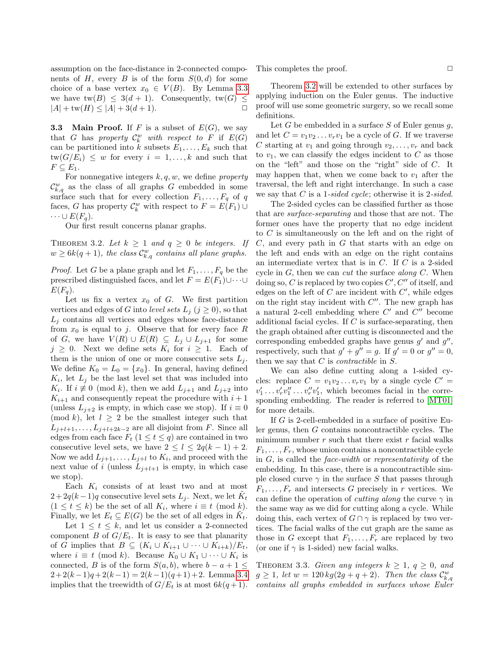assumption on the face-distance in 2-connected components of H, every B is of the form  $S(0, d)$  for some choice of a base vertex  $x_0 \in V(B)$ . By Lemma [3.3](#page-3-1) we have  $\text{tw}(B) \leq 3(d+1)$ . Consequently,  $\text{tw}(G) \leq$  $|A| + \text{tw}(H) \leq |A| + 3(d+1).$ 

**3.3 Main Proof.** If F is a subset of  $E(G)$ , we say that G has property  $\mathcal{C}_k^w$  with respect to F if  $E(G)$ can be partitioned into k subsets  $E_1, \ldots, E_k$  such that  $tw(G/E_i) \leq w$  for every  $i = 1, ..., k$  and such that  $F \subseteq E_1$ .

For nonnegative integers  $k, q, w$ , we define *property*  $\mathcal{C}^w_{k,q}$  as the class of all graphs G embedded in some surface such that for every collection  $F_1, \ldots, F_q$  of q faces, G has property  $\mathcal{C}_k^w$  with respect to  $F = E(F_1) \cup$  $\cdots \cup E(F_q)$ .

Our first result concerns planar graphs.

THEOREM 3.2. Let  $k \geq 1$  and  $q \geq 0$  be integers. If  $w \geq 6k(q+1)$ , the class  $\mathcal{C}_{k,q}^w$  contains all plane graphs.

*Proof.* Let G be a plane graph and let  $F_1, \ldots, F_q$  be the prescribed distinguished faces, and let  $F = E(F_1) \cup \cdots \cup$  $E(F_q)$ .

Let us fix a vertex  $x_0$  of G. We first partition vertices and edges of G into level sets  $L_i$  ( $j \geq 0$ ), so that  $L_i$  contains all vertices and edges whose face-distance from  $x_0$  is equal to j. Observe that for every face R of G, we have  $V(R) \cup E(R) \subseteq L_i \cup L_{i+1}$  for some  $j \geq 0$ . Next we define sets  $K_i$  for  $i \geq 1$ . Each of them is the union of one or more consecutive sets  $L_i$ . We define  $K_0 = L_0 = \{x_0\}$ . In general, having defined  $K_i$ , let  $L_j$  be the last level set that was included into  $K_i$ . If  $i \not\equiv 0 \pmod{k}$ , then we add  $L_{j+1}$  and  $L_{j+2}$  into  $K_{i+1}$  and consequently repeat the procedure with  $i+1$ (unless  $L_{i+2}$  is empty, in which case we stop). If  $i \equiv 0$  $p(\mod k)$ , let  $l \geq 2$  be the smallest integer such that  $L_{j+l+1}, \ldots, L_{j+l+2k-2}$  are all disjoint from F. Since all edges from each face  $F_t$   $(1 \le t \le q)$  are contained in two consecutive level sets, we have  $2 \leq l \leq 2q(k-1)+2$ . Now we add  $L_{j+1}, \ldots, L_{j+l}$  to  $K_i$ , and proceed with the next value of i (unless  $L_{j+l+1}$  is empty, in which case we stop).

Each  $K_i$  consists of at least two and at most  $2+2q(k-1)q$  consecutive level sets  $L_j$ . Next, we let  $\tilde{K}_t$  $(1 \leq t \leq k)$  be the set of all  $K_i$ , where  $i \equiv t \pmod{k}$ . Finally, we let  $E_t \subseteq E(G)$  be the set of all edges in  $\tilde{K}_t$ .

Let  $1 \leq t \leq k$ , and let us consider a 2-connected component B of  $G/E_t$ . It is easy to see that planarity of G implies that  $B \subseteq (K_i \cup K_{i+1} \cup \cdots \cup K_{i+k})/E_t$ , where  $i \equiv t \pmod{k}$ . Because  $K_0 \cup K_1 \cup \cdots \cup K_i$  is connected, B is of the form  $S(a, b)$ , where  $b - a + 1 \leq$  $2+2(k-1)q+2(k-1) = 2(k-1)(q+1)+2$ . Lemma [3.4](#page-3-2) implies that the treewidth of  $G/E_t$  is at most  $6k(q+1)$ . This completes the proof.  $\Box$ 

Theorem [3.2](#page-1-2) will be extended to other surfaces by applying induction on the Euler genus. The inductive proof will use some geometric surgery, so we recall some definitions.

Let G be embedded in a surface S of Euler genus  $q$ , and let  $C = v_1v_2 \ldots v_rv_1$  be a cycle of G. If we traverse C starting at  $v_1$  and going through  $v_2, \ldots, v_r$  and back to  $v_1$ , we can classify the edges incident to C as those on the "left" and those on the "right" side of C. It may happen that, when we come back to  $v_1$  after the traversal, the left and right interchange. In such a case we say that  $C$  is a 1-sided cycle; otherwise it is 2-sided.

The 2-sided cycles can be classified further as those that are surface-separating and those that are not. The former ones have the property that no edge incident to  $C$  is simultaneously on the left and on the right of  $C$ , and every path in  $G$  that starts with an edge on the left and ends with an edge on the right contains an intermediate vertex that is in  $C$ . If  $C$  is a 2-sided cycle in  $G$ , then we can *cut* the surface *along*  $C$ . When doing so,  $C$  is replaced by two copies  $C', C''$  of itself, and edges on the left of  $C$  are incident with  $C'$ , while edges on the right stay incident with  $C''$ . The new graph has a natural 2-cell embedding where  $C'$  and  $C''$  become additional facial cycles. If  $C$  is surface-separating, then the graph obtained after cutting is disconnected and the corresponding embedded graphs have genus  $g'$  and  $g''$ , respectively, such that  $g' + g'' = g$ . If  $g' = 0$  or  $g'' = 0$ , then we say that  $C$  is *contractible* in  $S$ .

We can also define cutting along a 1-sided cycles: replace  $C = v_1v_2 \ldots v_rv_1$  by a single cycle  $C' =$  $v'_1 \dots v'_r v''_1 \dots v''_r v'_1$ , which becomes facial in the corresponding embedding. The reader is referred to [\[MT01\]](#page-9-4) for more details.

If G is 2-cell-embedded in a surface of positive Euler genus, then G contains noncontractible cycles. The minimum number  $r$  such that there exist  $r$  facial walks  $F_1, \ldots, F_r$ , whose union contains a noncontractible cycle in  $G$ , is called the *face-width* or *representativity* of the embedding. In this case, there is a noncontractible simple closed curve  $\gamma$  in the surface S that passes through  $F_1, \ldots, F_r$  and intersects G precisely in r vertices. We can define the operation of *cutting along* the curve  $\gamma$  in the same way as we did for cutting along a cycle. While doing this, each vertex of  $G \cap \gamma$  is replaced by two vertices. The facial walks of the cut graph are the same as those in G except that  $F_1, \ldots, F_r$  are replaced by two (or one if  $\gamma$  is 1-sided) new facial walks.

<span id="page-4-0"></span>THEOREM 3.3. Given any integers  $k \geq 1$ ,  $q \geq 0$ , and  $g \geq 1$ , let  $w = 120 \text{ kg} (2g + q + 2)$ . Then the class  $\mathcal{C}_{k,q}^w$ contains all graphs embedded in surfaces whose Euler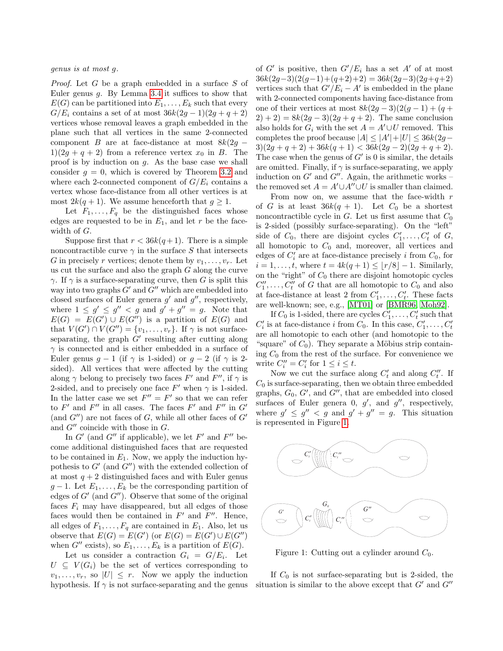genus is at most g.

Proof. Let G be a graph embedded in a surface S of Euler genus  $g$ . By Lemma [3.4](#page-3-2) it suffices to show that  $E(G)$  can be partitioned into  $E_1, \ldots, E_k$  such that every  $G/E_i$  contains a set of at most  $36k(2g-1)(2g+q+2)$ vertices whose removal leaves a graph embedded in the plane such that all vertices in the same 2-connected component B are at face-distance at most  $8k(2g 1(2g + q + 2)$  from a reference vertex  $x_0$  in B. The proof is by induction on g. As the base case we shall consider  $q = 0$ , which is covered by Theorem [3.2](#page-1-2) and where each 2-connected component of  $G/E_i$  contains a vertex whose face-distance from all other vertices is at most  $2k(q + 1)$ . We assume henceforth that  $q \ge 1$ .

Let  $F_1, \ldots, F_q$  be the distinguished faces whose edges are requested to be in  $E_1$ , and let r be the facewidth of G.

Suppose first that  $r < 36k(q+1)$ . There is a simple noncontractible curve  $\gamma$  in the surface  $S$  that intersects G in precisely r vertices; denote them by  $v_1, \ldots, v_r$ . Let us cut the surface and also the graph  $G$  along the curve  $γ$ . If  $γ$  is a surface-separating curve, then G is split this way into two graphs  $G'$  and  $G''$  which are embedded into closed surfaces of Euler genera  $g'$  and  $g''$ , respectively, where  $1 \leq g' \leq g'' < g$  and  $g' + g'' = g$ . Note that  $E(G) = E(G') \cup E(G'')$  is a partition of  $E(G)$  and that  $V(G') \cap V(G'') = \{v_1, \ldots, v_r\}$ . If  $\gamma$  is not surfaceseparating, the graph  $G'$  resulting after cutting along  $\gamma$  is connected and is either embedded in a surface of Euler genus  $g - 1$  (if  $\gamma$  is 1-sided) or  $g - 2$  (if  $\gamma$  is 2sided). All vertices that were affected by the cutting along  $\gamma$  belong to precisely two faces  $F'$  and  $F''$ , if  $\gamma$  is 2-sided, and to precisely one face  $F'$  when  $\gamma$  is 1-sided. In the latter case we set  $F'' = F'$  so that we can refer to  $F'$  and  $F''$  in all cases. The faces  $F'$  and  $F''$  in  $G'$ (and  $G''$ ) are not faces of G, while all other faces of  $G'$ and  $G''$  coincide with those in  $G$ .

In  $G'$  (and  $G''$  if applicable), we let  $F'$  and  $F''$  become additional distinguished faces that are requested to be contained in  $E_1$ . Now, we apply the induction hypothesis to  $G'$  (and  $G''$ ) with the extended collection of at most  $q + 2$  distinguished faces and with Euler genus  $g-1$ . Let  $E_1, \ldots, E_k$  be the corresponding partition of edges of  $G'$  (and  $G''$ ). Observe that some of the original faces  $F_i$  may have disappeared, but all edges of those faces would then be contained in  $F'$  and  $F''$ . Hence, all edges of  $F_1, \ldots, F_q$  are contained in  $E_1$ . Also, let us observe that  $E(G) = E(G')$  (or  $E(G) = E(G') \cup E(G'')$ ) when  $G''$  exists), so  $E_1, \ldots, E_k$  is a partition of  $E(G)$ .

Let us consider a contraction  $G_i = G/E_i$ . Let  $U \subseteq V(G_i)$  be the set of vertices corresponding to  $v_1, \ldots, v_r$ , so  $|U| \leq r$ . Now we apply the induction hypothesis. If  $\gamma$  is not surface-separating and the genus

of  $G'$  is positive, then  $G'/E_i$  has a set  $A'$  of at most  $36k(2g-3)(2(g-1)+(q+2)+2) = 36k(2g-3)(2g+q+2)$ vertices such that  $G'/E_i - A'$  is embedded in the plane with 2-connected components having face-distance from one of their vertices at most  $8k(2g-3)(2(g-1)+(q+$  $2) + 2 = 8k(2g - 3)(2g + q + 2)$ . The same conclusion also holds for  $G_i$  with the set  $A = A' \cup U$  removed. This completes the proof because  $|A| \leq |A'| + |U| \leq 36k(2g 3(2g+q+2)+36k(q+1) < 36k(2g-2)(2g+q+2).$ The case when the genus of  $G'$  is 0 is similar, the details are omitted. Finally, if  $\gamma$  is surface-separating, we apply induction on  $G'$  and  $G''$ . Again, the arithmetic works – the removed set  $A = A' \cup A'' \cup U$  is smaller than claimed.

From now on, we assume that the face-width  $r$ of G is at least  $36k(q + 1)$ . Let  $C_0$  be a shortest noncontractible cycle in  $G$ . Let us first assume that  $C_0$ is 2-sided (possibly surface-separating). On the "left" side of  $C_0$ , there are disjoint cycles  $C'_1, \ldots, C'_t$  of  $G$ , all homotopic to  $C_0$  and, moreover, all vertices and edges of  $C_i'$  are at face-distance precisely i from  $C_0$ , for  $i = 1, ..., t$ , where  $t = 4k(q + 1) \leq \lfloor r/8 \rfloor - 1$ . Similarly, on the "right" of  $C_0$  there are disjoint homotopic cycles  $C_1'', \ldots, C_t''$  of G that are all homotopic to  $C_0$  and also at face-distance at least 2 from  $C'_1, \ldots, C'_t$ . These facts are well-known; see, e.g., [\[MT01\]](#page-9-4) or [\[BMR96,](#page-8-13) [Moh92\]](#page-9-9).

If  $C_0$  is 1-sided, there are cycles  $C'_1, \ldots, C'_t$  such that  $C'_i$  is at face-distance *i* from  $C_0$ . In this case,  $C'_1, \ldots, C'_t$ are all homotopic to each other (and homotopic to the "square" of  $C_0$ ). They separate a Möbius strip containing  $C_0$  from the rest of the surface. For convenience we write  $C_i'' = C_i'$  for  $1 \le i \le t$ .

Now we cut the surface along  $C_t'$  and along  $C_t''$ . If  $C_0$  is surface-separating, then we obtain three embedded graphs,  $G_0$ ,  $G'$ , and  $G''$ , that are embedded into closed surfaces of Euler genera 0,  $g'$ , and  $g''$ , respectively, where  $g' \leq g'' < g$  and  $g' + g'' = g$ . This situation is represented in Figure [1.](#page-5-0)



<span id="page-5-0"></span>Figure 1: Cutting out a cylinder around  $C_0$ .

If  $C_0$  is not surface-separating but is 2-sided, the situation is similar to the above except that  $G'$  and  $G''$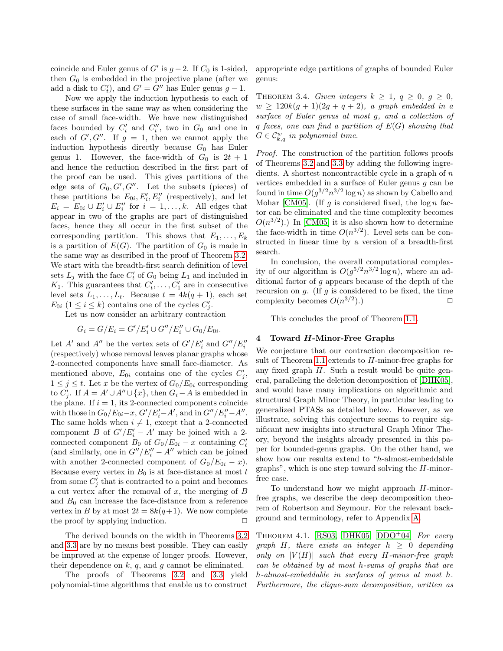coincide and Euler genus of  $G'$  is  $g-2$ . If  $C_0$  is 1-sided, then  $G_0$  is embedded in the projective plane (after we add a disk to  $C'_{t}$ ), and  $G' = G''$  has Euler genus  $g - 1$ .

Now we apply the induction hypothesis to each of these surfaces in the same way as when considering the case of small face-width. We have new distinguished faces bounded by  $C_t'$  and  $C_t''$ , two in  $G_0$  and one in each of  $G', G''$ . If  $g = 1$ , then we cannot apply the induction hypothesis directly because  $G_0$  has Euler genus 1. However, the face-width of  $G_0$  is  $2t + 1$ and hence the reduction described in the first part of the proof can be used. This gives partitions of the edge sets of  $G_0, G', G''$ . Let the subsets (pieces) of these partitions be  $E_{0i}, E'_i, E''_i$  (respectively), and let  $E_i = E_{0i} \cup E'_i \cup E''_i$  for  $i = 1, ..., k$ . All edges that appear in two of the graphs are part of distinguished faces, hence they all occur in the first subset of the corresponding partition. This shows that  $E_1, \ldots, E_k$ is a partition of  $E(G)$ . The partition of  $G_0$  is made in the same way as described in the proof of Theorem [3.2.](#page-1-2) We start with the breadth-first search definition of level sets  $L_j$  with the face  $C'_t$  of  $G_0$  being  $L_1$  and included in  $K_1$ . This guarantees that  $C'_t, \ldots, C'_1$  are in consecutive level sets  $L_1, \ldots, L_t$ . Because  $t = 4k(q + 1)$ , each set  $E_{0i}$   $(1 \leq i \leq k)$  contains one of the cycles  $C'_j$ .

Let us now consider an arbitrary contraction

$$
G_i = G/E_i = G'/E'_i \cup G''/E''_i \cup G_0/E_{0i}.
$$

Let A' and A" be the vertex sets of  $G'/E'_i$  and  $G''/E''_i$ (respectively) whose removal leaves planar graphs whose 2-connected components have small face-diameter. As mentioned above,  $E_{0i}$  contains one of the cycles  $C'_{j}$ ,  $1 \leq j \leq t$ . Let x be the vertex of  $G_0/E_{0i}$  corresponding to  $C'_j$ . If  $A = A' \cup A'' \cup \{x\}$ , then  $G_i - A$  is embedded in the plane. If  $i = 1$ , its 2-connected components coincide with those in  $G_0/E_{0i} - x$ ,  $G'/E'_i - A'$ , and in  $G''/E''_i - A''$ . The same holds when  $i \neq 1$ , except that a 2-connected component B of  $G'/E'_i - A'$  may be joined with a 2connected component  $B_0$  of  $G_0/E_{0i} - x$  containing  $C_t'$ (and similarly, one in  $G''/E''_i - A''$  which can be joined with another 2-connected component of  $G_0/E_{0i} - x$ . Because every vertex in  $B_0$  is at face-distance at most  $t$ from some  $C'_{j}$  that is contracted to a point and becomes a cut vertex after the removal of  $x$ , the merging of  $B$ and  $B_0$  can increase the face-distance from a reference vertex in B by at most  $2t = 8k(q+1)$ . We now complete the proof by applying induction.  $\Box$ 

The derived bounds on the width in Theorems [3.2](#page-1-2) and [3.3](#page-4-0) are by no means best possible. They can easily be improved at the expense of longer proofs. However, their dependence on  $k$ ,  $q$ , and  $q$  cannot be eliminated.

The proofs of Theorems [3.2](#page-1-2) and [3.3](#page-4-0) yield polynomial-time algorithms that enable us to construct appropriate edge partitions of graphs of bounded Euler genus:

THEOREM 3.4. Given integers  $k \geq 1, q \geq 0, g \geq 0$ ,  $w \geq 120k(g+1)(2g+q+2)$ , a graph embedded in a surface of Euler genus at most g, and a collection of  $q$  faces, one can find a partition of  $E(G)$  showing that  $G \in \mathcal{C}_{k,q}^w$  in polynomial time.

Proof. The construction of the partition follows proofs of Theorems [3.2](#page-1-2) and [3.3](#page-4-0) by adding the following ingredients. A shortest noncontractible cycle in a graph of  $n$ vertices embedded in a surface of Euler genus  $q$  can be found in time  $O(g^{3/2}n^{3/2}\log n)$  as shown by Cabello and Mohar [\[CM05\]](#page-8-16). (If  $g$  is considered fixed, the log  $n$  factor can be eliminated and the time complexity becomes  $O(n^{3/2})$ .) In [\[CM05\]](#page-8-16) it is also shown how to determine the face-width in time  $O(n^{3/2})$ . Level sets can be constructed in linear time by a version of a breadth-first search.

In conclusion, the overall computational complexity of our algorithm is  $O(g^{5/2}n^{3/2}\log n)$ , where an additional factor of g appears because of the depth of the recursion on  $g$ . (If  $g$  is considered to be fixed, the time complexity becomes  $O(n^{3/2})$ ).)  $\qquad \qquad \square$ 

This concludes the proof of Theorem [1.1.](#page-1-1)

## <span id="page-6-0"></span>4 Toward H-Minor-Free Graphs

We conjecture that our contraction decomposition result of Theorem [1.1](#page-1-1) extends to H-minor-free graphs for any fixed graph  $H$ . Such a result would be quite general, paralleling the deletion decomposition of [\[DHK05\]](#page-8-2), and would have many implications on algorithmic and structural Graph Minor Theory, in particular leading to generalized PTASs as detailed below. However, as we illustrate, solving this conjecture seems to require significant new insights into structural Graph Minor Theory, beyond the insights already presented in this paper for bounded-genus graphs. On the other hand, we show how our results extend to "h-almost-embeddable graphs", which is one step toward solving the H-minorfree case.

To understand how we might approach H-minorfree graphs, we describe the deep decomposition theorem of Robertson and Seymour. For the relevant background and terminology, refer to Appendix [A.](#page-9-10)

THEOREM 4.1. [\[RS03,](#page-9-11) [DHK05,](#page-8-2) [DDO](#page-8-1)+04] For every graph H, there exists an integer  $h \geq 0$  depending only on  $|V(H)|$  such that every H-minor-free graph can be obtained by at most h-sums of graphs that are h-almost-embeddable in surfaces of genus at most h. Furthermore, the clique-sum decomposition, written as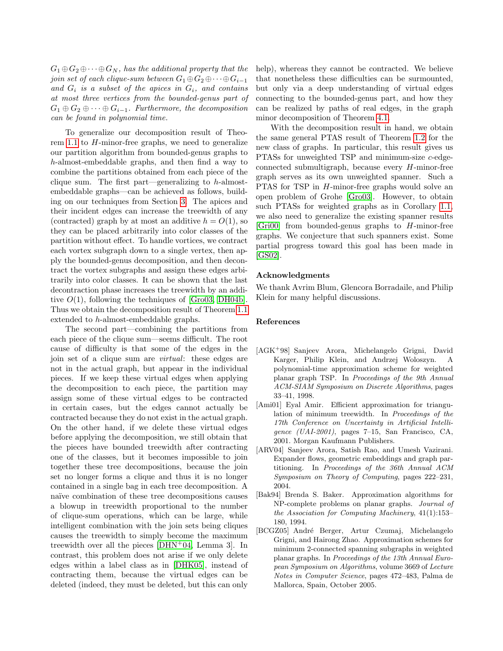$G_1 \oplus G_2 \oplus \cdots \oplus G_N$ , has the additional property that the join set of each clique-sum between  $G_1 \oplus G_2 \oplus \cdots \oplus G_{i-1}$ and  $G_i$  is a subset of the apices in  $G_i$ , and contains at most three vertices from the bounded-genus part of  $G_1 \oplus G_2 \oplus \cdots \oplus G_{i-1}$ . Furthermore, the decomposition can be found in polynomial time.

To generalize our decomposition result of Theo-rem [1.1](#page-1-1) to  $H$ -minor-free graphs, we need to generalize our partition algorithm from bounded-genus graphs to h-almost-embeddable graphs, and then find a way to combine the partitions obtained from each piece of the clique sum. The first part—generalizing to h-almostembeddable graphs—can be achieved as follows, building on our techniques from Section [3.](#page-3-0) The apices and their incident edges can increase the treewidth of any (contracted) graph by at most an additive  $h = O(1)$ , so they can be placed arbitrarily into color classes of the partition without effect. To handle vortices, we contract each vortex subgraph down to a single vertex, then apply the bounded-genus decomposition, and then decontract the vortex subgraphs and assign these edges arbitrarily into color classes. It can be shown that the last decontraction phase increases the treewidth by an additive  $O(1)$ , following the techniques of [\[Gro03,](#page-8-21) [DH04b\]](#page-8-22). Thus we obtain the decomposition result of Theorem [1.1](#page-1-1) extended to h-almost-embeddable graphs.

The second part—combining the partitions from each piece of the clique sum—seems difficult. The root cause of difficulty is that some of the edges in the join set of a clique sum are virtual: these edges are not in the actual graph, but appear in the individual pieces. If we keep these virtual edges when applying the decomposition to each piece, the partition may assign some of these virtual edges to be contracted in certain cases, but the edges cannot actually be contracted because they do not exist in the actual graph. On the other hand, if we delete these virtual edges before applying the decomposition, we still obtain that the pieces have bounded treewidth after contracting one of the classes, but it becomes impossible to join together these tree decompositions, because the join set no longer forms a clique and thus it is no longer contained in a single bag in each tree decomposition. A na¨ıve combination of these tree decompositions causes a blowup in treewidth proportional to the number of clique-sum operations, which can be large, while intelligent combination with the join sets being cliques causes the treewidth to simply become the maximum treewidth over all the pieces  $[DHN^+04, \text{ Lemma 3}].$  $[DHN^+04, \text{ Lemma 3}].$  In contrast, this problem does not arise if we only delete edges within a label class as in [\[DHK05\]](#page-8-2), instead of contracting them, because the virtual edges can be deleted (indeed, they must be deleted, but this can only help), whereas they cannot be contracted. We believe that nonetheless these difficulties can be surmounted, but only via a deep understanding of virtual edges connecting to the bounded-genus part, and how they can be realized by paths of real edges, in the graph minor decomposition of Theorem [4.1.](#page-1-1)

With the decomposition result in hand, we obtain the same general PTAS result of Theorem [1.2](#page-1-2) for the new class of graphs. In particular, this result gives us PTASs for unweighted TSP and minimum-size c-edgeconnected submultigraph, because every  $H$ -minor-free graph serves as its own unweighted spanner. Such a PTAS for TSP in H-minor-free graphs would solve an open problem of Grohe [\[Gro03\]](#page-8-21). However, to obtain such PTASs for weighted graphs as in Corollary [1.1,](#page-2-1) we also need to generalize the existing spanner results [\[Gri00\]](#page-8-5) from bounded-genus graphs to H-minor-free graphs. We conjecture that such spanners exist. Some partial progress toward this goal has been made in [\[GS02\]](#page-8-24).

### Acknowledgments

We thank Avrim Blum, Glencora Borradaile, and Philip Klein for many helpful discussions.

## References

- <span id="page-7-1"></span>[AGK<sup>+</sup>98] Sanjeev Arora, Michelangelo Grigni, David Karger, Philip Klein, and Andrzej Woloszyn. A polynomial-time approximation scheme for weighted planar graph TSP. In Proceedings of the 9th Annual ACM-SIAM Symposium on Discrete Algorithms, pages 33–41, 1998.
- <span id="page-7-4"></span>[Ami01] Eyal Amir. Efficient approximation for triangulation of minimum treewidth. In Proceedings of the 17th Conference on Uncertainty in Artificial Intelligence (UAI-2001), pages 7–15, San Francisco, CA, 2001. Morgan Kaufmann Publishers.
- <span id="page-7-3"></span>[ARV04] Sanjeev Arora, Satish Rao, and Umesh Vazirani. Expander flows, geometric embeddings and graph partitioning. In Proceedings of the 36th Annual ACM Symposium on Theory of Computing, pages 222–231, 2004.
- <span id="page-7-0"></span>[Bak94] Brenda S. Baker. Approximation algorithms for NP-complete problems on planar graphs. Journal of the Association for Computing Machinery, 41(1):153– 180, 1994.
- <span id="page-7-2"></span>[BCGZ05] André Berger, Artur Czumaj, Michelangelo Grigni, and Hairong Zhao. Approximation schemes for minimum 2-connected spanning subgraphs in weighted planar graphs. In Proceedings of the 13th Annual European Symposium on Algorithms, volume 3669 of Lecture Notes in Computer Science, pages 472–483, Palma de Mallorca, Spain, October 2005.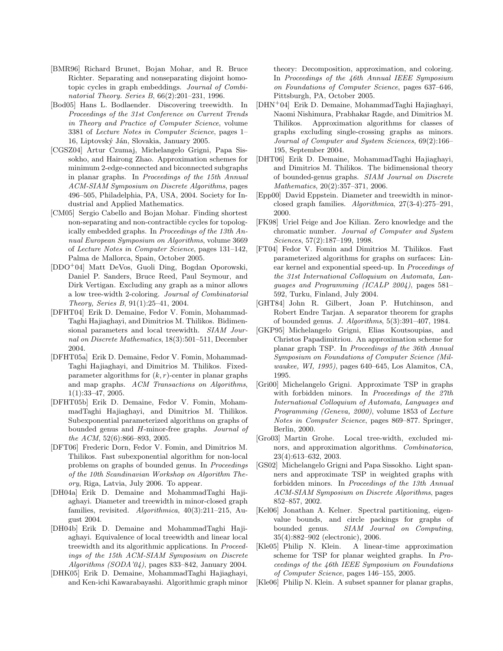- <span id="page-8-13"></span>[BMR96] Richard Brunet, Bojan Mohar, and R. Bruce Richter. Separating and nonseparating disjoint homotopic cycles in graph embeddings. Journal of Combinatorial Theory. Series B, 66(2):201–231, 1996.
- <span id="page-8-7"></span>[Bod05] Hans L. Bodlaender. Discovering treewidth. In Proceedings of the 31st Conference on Current Trends in Theory and Practice of Computer Science, volume 3381 of Lecture Notes in Computer Science, pages 1– 16, Liptovský Ján, Slovakia, January 2005.
- <span id="page-8-6"></span>[CGSZ04] Artur Czumaj, Michelangelo Grigni, Papa Sissokho, and Hairong Zhao. Approximation schemes for minimum 2-edge-connected and biconnected subgraphs in planar graphs. In Proceedings of the 15th Annual ACM-SIAM Symposium on Discrete Algorithms, pages 496–505, Philadelphia, PA, USA, 2004. Society for Industrial and Applied Mathematics.
- <span id="page-8-16"></span>[CM05] Sergio Cabello and Bojan Mohar. Finding shortest non-separating and non-contractible cycles for topologically embedded graphs. In Proceedings of the 13th Annual European Symposium on Algorithms, volume 3669 of Lecture Notes in Computer Science, pages 131–142, Palma de Mallorca, Spain, October 2005.
- <span id="page-8-1"></span>[DDO<sup>+</sup>04] Matt DeVos, Guoli Ding, Bogdan Oporowski, Daniel P. Sanders, Bruce Reed, Paul Seymour, and Dirk Vertigan. Excluding any graph as a minor allows a low tree-width 2-coloring. Journal of Combinatorial Theory, Series B, 91(1):25–41, 2004.
- <span id="page-8-11"></span>[DFHT04] Erik D. Demaine, Fedor V. Fomin, Mohammad-Taghi Hajiaghayi, and Dimitrios M. Thilikos. Bidimensional parameters and local treewidth. SIAM Journal on Discrete Mathematics, 18(3):501–511, December 2004.
- <span id="page-8-9"></span>[DFHT05a] Erik D. Demaine, Fedor V. Fomin, Mohammad-Taghi Hajiaghayi, and Dimitrios M. Thilikos. Fixedparameter algorithms for  $(k, r)$ -center in planar graphs and map graphs. ACM Transactions on Algorithms, 1(1):33–47, 2005.
- <span id="page-8-10"></span>[DFHT05b] Erik D. Demaine, Fedor V. Fomin, MohammadTaghi Hajiaghayi, and Dimitrios M. Thilikos. Subexponential parameterized algorithms on graphs of bounded genus and H-minor-free graphs. Journal of the ACM, 52(6):866-893, 2005.
- <span id="page-8-17"></span>[DFT06] Frederic Dorn, Fedor V. Fomin, and Dimitrios M. Thilikos. Fast subexponential algorithm for non-local problems on graphs of bounded genus. In Proceedings of the 10th Scandinavian Workshop on Algorithm Theory, Riga, Latvia, July 2006. To appear.
- <span id="page-8-20"></span>[DH04a] Erik D. Demaine and MohammadTaghi Hajiaghayi. Diameter and treewidth in minor-closed graph families, revisited. Algorithmica, 40(3):211–215, August 2004.
- <span id="page-8-22"></span>[DH04b] Erik D. Demaine and MohammadTaghi Hajiaghayi. Equivalence of local treewidth and linear local treewidth and its algorithmic applications. In Proceedings of the 15th ACM-SIAM Symposium on Discrete Algorithms (SODA'04), pages 833–842, January 2004.
- <span id="page-8-2"></span>[DHK05] Erik D. Demaine, MohammadTaghi Hajiaghayi, and Ken-ichi Kawarabayashi. Algorithmic graph minor

theory: Decomposition, approximation, and coloring. In Proceedings of the 46th Annual IEEE Symposium on Foundations of Computer Science, pages 637–646, Pittsburgh, PA, October 2005.

- <span id="page-8-23"></span>[DHN<sup>+</sup>04] Erik D. Demaine, MohammadTaghi Hajiaghayi, Naomi Nishimura, Prabhakar Ragde, and Dimitrios M. Thilikos. Approximation algorithms for classes of graphs excluding single-crossing graphs as minors. Journal of Computer and System Sciences, 69(2):166– 195, September 2004.
- <span id="page-8-14"></span>[DHT06] Erik D. Demaine, MohammadTaghi Hajiaghayi, and Dimitrios M. Thilikos. The bidimensional theory of bounded-genus graphs. SIAM Journal on Discrete Mathematics, 20(2):357–371, 2006.
- <span id="page-8-0"></span>[Epp00] David Eppstein. Diameter and treewidth in minorclosed graph families. Algorithmica, 27(3-4):275–291, 2000.
- <span id="page-8-8"></span>[FK98] Uriel Feige and Joe Kilian. Zero knowledge and the chromatic number. Journal of Computer and System Sciences, 57(2):187–199, 1998.
- <span id="page-8-15"></span>[FT04] Fedor V. Fomin and Dimitrios M. Thilikos. Fast parameterized algorithms for graphs on surfaces: Linear kernel and exponential speed-up. In Proceedings of the 31st International Colloquium on Automata, Languages and Programming (ICALP 2004), pages 581– 592, Turku, Finland, July 2004.
- <span id="page-8-18"></span>[GHT84] John R. Gilbert, Joan P. Hutchinson, and Robert Endre Tarjan. A separator theorem for graphs of bounded genus. J. Algorithms, 5(3):391–407, 1984.
- <span id="page-8-4"></span>[GKP95] Michelangelo Grigni, Elias Koutsoupias, and Christos Papadimitriou. An approximation scheme for planar graph TSP. In Proceedings of the 36th Annual Symposium on Foundations of Computer Science (Milwaukee, WI, 1995), pages 640–645, Los Alamitos, CA, 1995.
- <span id="page-8-5"></span>[Gri00] Michelangelo Grigni. Approximate TSP in graphs with forbidden minors. In Proceedings of the 27th International Colloquium of Automata, Languages and Programming (Geneva, 2000), volume 1853 of Lecture Notes in Computer Science, pages 869–877. Springer, Berlin, 2000.
- <span id="page-8-21"></span>[Gro03] Martin Grohe. Local tree-width, excluded minors, and approximation algorithms. Combinatorica, 23(4):613–632, 2003.
- <span id="page-8-24"></span>[GS02] Michelangelo Grigni and Papa Sissokho. Light spanners and approximate TSP in weighted graphs with forbidden minors. In Proceedings of the 13th Annual ACM-SIAM Symposium on Discrete Algorithms, pages 852–857, 2002.
- <span id="page-8-19"></span>[Kel06] Jonathan A. Kelner. Spectral partitioning, eigenvalue bounds, and circle packings for graphs of bounded genus. SIAM Journal on Computing, 35(4):882–902 (electronic), 2006.
- <span id="page-8-3"></span>[Kle05] Philip N. Klein. A linear-time approximation scheme for TSP for planar weighted graphs. In Proceedings of the 46th IEEE Symposium on Foundations of Computer Science, pages 146–155, 2005.
- <span id="page-8-12"></span>[Kle06] Philip N. Klein. A subset spanner for planar graphs,